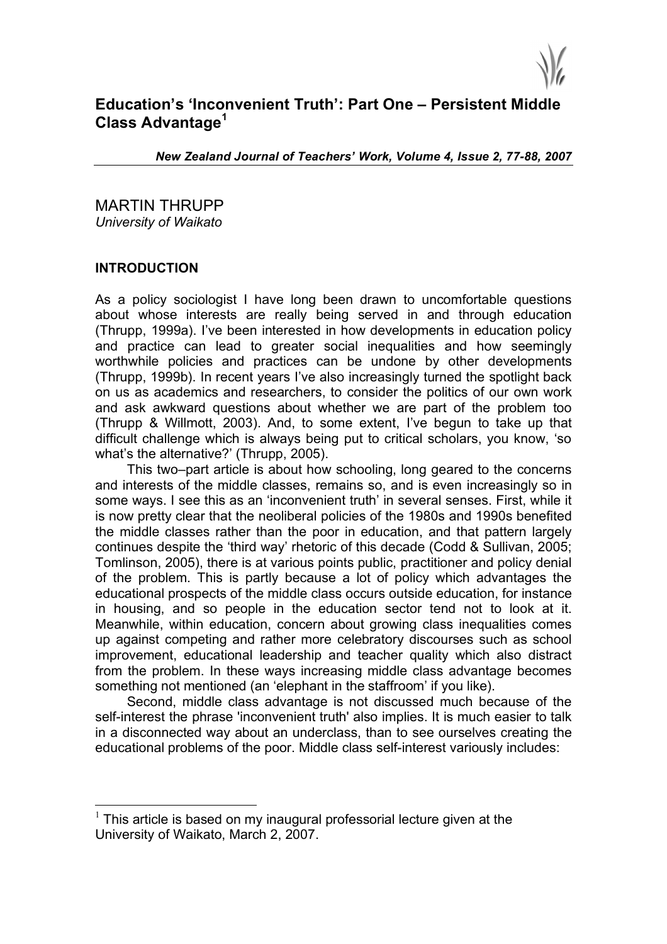

# **Education's 'Inconvenient Truth': Part One – Persistent Middle Class Advantage<sup>1</sup>**

*New Zealand Journal of Teachers' Work, Volume 4, Issue 2, 77-88, 2007*

MARTIN THRUPP *University of Waikato*

### **INTRODUCTION**

As a policy sociologist I have long been drawn to uncomfortable questions about whose interests are really being served in and through education (Thrupp, 1999a). I've been interested in how developments in education policy and practice can lead to greater social inequalities and how seemingly worthwhile policies and practices can be undone by other developments (Thrupp, 1999b). In recent years I've also increasingly turned the spotlight back on us as academics and researchers, to consider the politics of our own work and ask awkward questions about whether we are part of the problem too (Thrupp & Willmott, 2003). And, to some extent, I've begun to take up that difficult challenge which is always being put to critical scholars, you know, 'so what's the alternative?' (Thrupp, 2005).

This two–part article is about how schooling, long geared to the concerns and interests of the middle classes, remains so, and is even increasingly so in some ways. I see this as an 'inconvenient truth' in several senses. First, while it is now pretty clear that the neoliberal policies of the 1980s and 1990s benefited the middle classes rather than the poor in education, and that pattern largely continues despite the 'third way' rhetoric of this decade (Codd & Sullivan, 2005; Tomlinson, 2005), there is at various points public, practitioner and policy denial of the problem. This is partly because a lot of policy which advantages the educational prospects of the middle class occurs outside education, for instance in housing, and so people in the education sector tend not to look at it. Meanwhile, within education, concern about growing class inequalities comes up against competing and rather more celebratory discourses such as school improvement, educational leadership and teacher quality which also distract from the problem. In these ways increasing middle class advantage becomes something not mentioned (an 'elephant in the staffroom' if you like).

Second, middle class advantage is not discussed much because of the self-interest the phrase 'inconvenient truth' also implies. It is much easier to talk in a disconnected way about an underclass, than to see ourselves creating the educational problems of the poor. Middle class self-interest variously includes:

 $1$  This article is based on my inaugural professorial lecture given at the University of Waikato, March 2, 2007.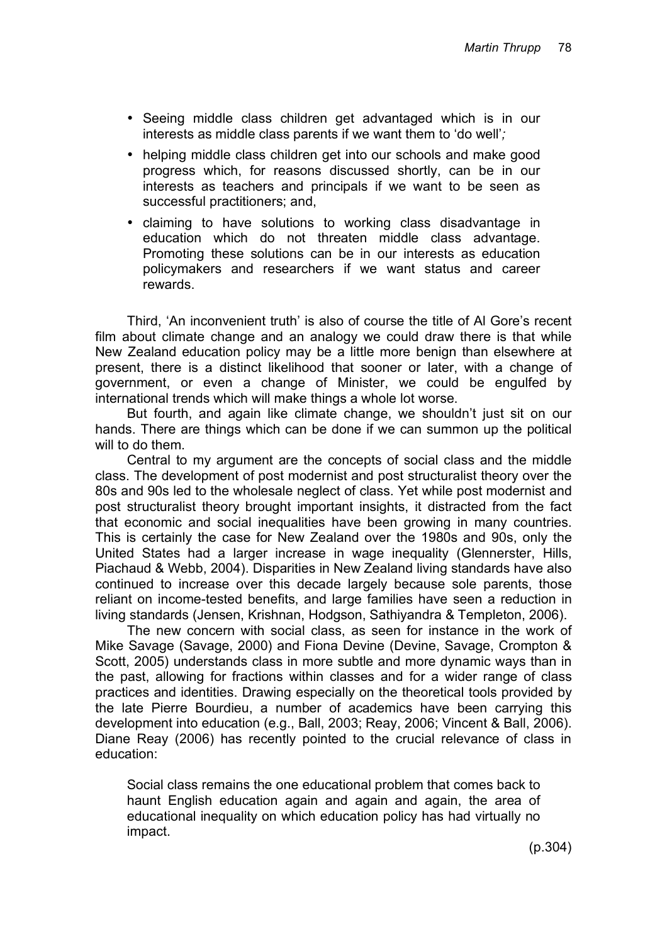- Seeing middle class children get advantaged which is in our interests as middle class parents if we want them to 'do well'*;*
- helping middle class children get into our schools and make good progress which, for reasons discussed shortly, can be in our interests as teachers and principals if we want to be seen as successful practitioners; and,
- claiming to have solutions to working class disadvantage in education which do not threaten middle class advantage. Promoting these solutions can be in our interests as education policymakers and researchers if we want status and career rewards.

Third, 'An inconvenient truth' is also of course the title of Al Gore's recent film about climate change and an analogy we could draw there is that while New Zealand education policy may be a little more benign than elsewhere at present, there is a distinct likelihood that sooner or later, with a change of government, or even a change of Minister, we could be engulfed by international trends which will make things a whole lot worse.

But fourth, and again like climate change, we shouldn't just sit on our hands. There are things which can be done if we can summon up the political will to do them.

Central to my argument are the concepts of social class and the middle class. The development of post modernist and post structuralist theory over the 80s and 90s led to the wholesale neglect of class. Yet while post modernist and post structuralist theory brought important insights, it distracted from the fact that economic and social inequalities have been growing in many countries. This is certainly the case for New Zealand over the 1980s and 90s, only the United States had a larger increase in wage inequality (Glennerster, Hills, Piachaud & Webb, 2004). Disparities in New Zealand living standards have also continued to increase over this decade largely because sole parents, those reliant on income-tested benefits, and large families have seen a reduction in living standards (Jensen, Krishnan, Hodgson, Sathiyandra & Templeton, 2006).

The new concern with social class, as seen for instance in the work of Mike Savage (Savage, 2000) and Fiona Devine (Devine, Savage, Crompton & Scott, 2005) understands class in more subtle and more dynamic ways than in the past, allowing for fractions within classes and for a wider range of class practices and identities. Drawing especially on the theoretical tools provided by the late Pierre Bourdieu, a number of academics have been carrying this development into education (e.g., Ball, 2003; Reay, 2006; Vincent & Ball, 2006). Diane Reay (2006) has recently pointed to the crucial relevance of class in education:

Social class remains the one educational problem that comes back to haunt English education again and again and again, the area of educational inequality on which education policy has had virtually no impact.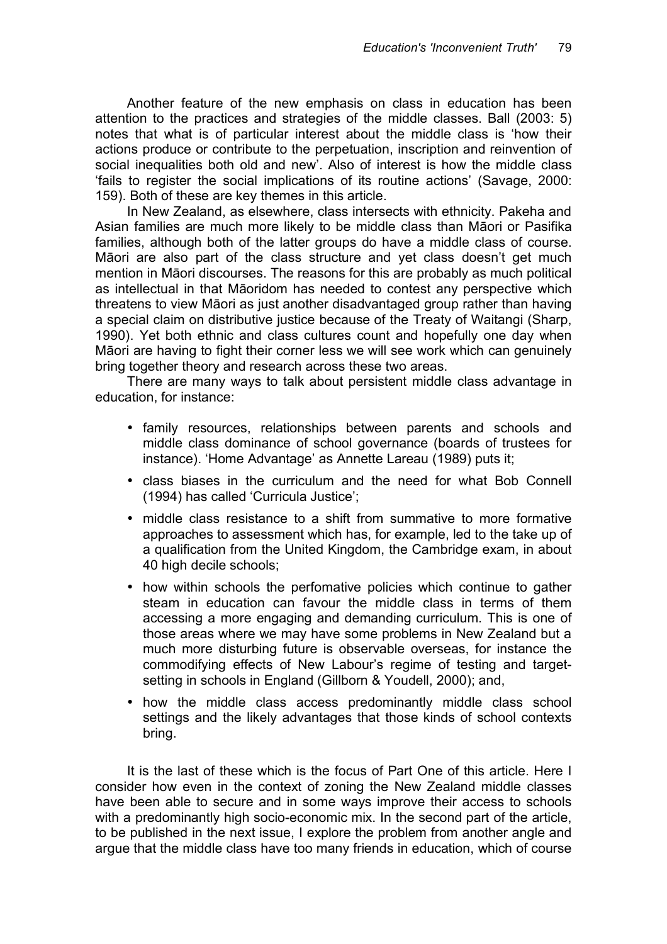Another feature of the new emphasis on class in education has been attention to the practices and strategies of the middle classes. Ball (2003: 5) notes that what is of particular interest about the middle class is 'how their actions produce or contribute to the perpetuation, inscription and reinvention of social inequalities both old and new'. Also of interest is how the middle class 'fails to register the social implications of its routine actions' (Savage, 2000: 159). Both of these are key themes in this article.

In New Zealand, as elsewhere, class intersects with ethnicity. Pakeha and Asian families are much more likely to be middle class than Māori or Pasifika families, although both of the latter groups do have a middle class of course. Māori are also part of the class structure and yet class doesn't get much mention in Māori discourses. The reasons for this are probably as much political as intellectual in that Māoridom has needed to contest any perspective which threatens to view Māori as just another disadvantaged group rather than having a special claim on distributive justice because of the Treaty of Waitangi (Sharp, 1990). Yet both ethnic and class cultures count and hopefully one day when Māori are having to fight their corner less we will see work which can genuinely bring together theory and research across these two areas.

There are many ways to talk about persistent middle class advantage in education, for instance:

- family resources, relationships between parents and schools and middle class dominance of school governance (boards of trustees for instance). 'Home Advantage' as Annette Lareau (1989) puts it;
- class biases in the curriculum and the need for what Bob Connell (1994) has called 'Curricula Justice';
- middle class resistance to a shift from summative to more formative approaches to assessment which has, for example, led to the take up of a qualification from the United Kingdom, the Cambridge exam, in about 40 high decile schools;
- how within schools the perfomative policies which continue to gather steam in education can favour the middle class in terms of them accessing a more engaging and demanding curriculum. This is one of those areas where we may have some problems in New Zealand but a much more disturbing future is observable overseas, for instance the commodifying effects of New Labour's regime of testing and targetsetting in schools in England (Gillborn & Youdell, 2000); and,
- how the middle class access predominantly middle class school settings and the likely advantages that those kinds of school contexts bring.

It is the last of these which is the focus of Part One of this article. Here I consider how even in the context of zoning the New Zealand middle classes have been able to secure and in some ways improve their access to schools with a predominantly high socio-economic mix. In the second part of the article, to be published in the next issue, I explore the problem from another angle and argue that the middle class have too many friends in education, which of course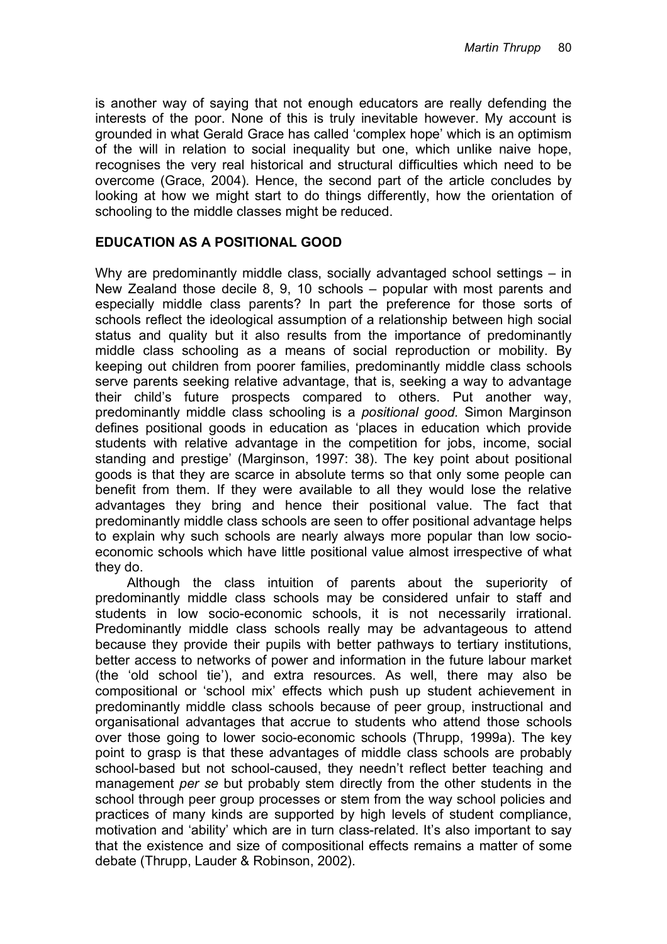is another way of saying that not enough educators are really defending the interests of the poor. None of this is truly inevitable however. My account is grounded in what Gerald Grace has called 'complex hope' which is an optimism of the will in relation to social inequality but one, which unlike naive hope, recognises the very real historical and structural difficulties which need to be overcome (Grace, 2004). Hence, the second part of the article concludes by looking at how we might start to do things differently, how the orientation of schooling to the middle classes might be reduced.

## **EDUCATION AS A POSITIONAL GOOD**

Why are predominantly middle class, socially advantaged school settings – in New Zealand those decile 8, 9, 10 schools – popular with most parents and especially middle class parents? In part the preference for those sorts of schools reflect the ideological assumption of a relationship between high social status and quality but it also results from the importance of predominantly middle class schooling as a means of social reproduction or mobility. By keeping out children from poorer families, predominantly middle class schools serve parents seeking relative advantage, that is, seeking a way to advantage their child's future prospects compared to others. Put another way, predominantly middle class schooling is a *positional good.* Simon Marginson defines positional goods in education as 'places in education which provide students with relative advantage in the competition for jobs, income, social standing and prestige' (Marginson, 1997: 38). The key point about positional goods is that they are scarce in absolute terms so that only some people can benefit from them. If they were available to all they would lose the relative advantages they bring and hence their positional value. The fact that predominantly middle class schools are seen to offer positional advantage helps to explain why such schools are nearly always more popular than low socioeconomic schools which have little positional value almost irrespective of what they do.

Although the class intuition of parents about the superiority of predominantly middle class schools may be considered unfair to staff and students in low socio-economic schools, it is not necessarily irrational. Predominantly middle class schools really may be advantageous to attend because they provide their pupils with better pathways to tertiary institutions, better access to networks of power and information in the future labour market (the 'old school tie'), and extra resources. As well, there may also be compositional or 'school mix' effects which push up student achievement in predominantly middle class schools because of peer group, instructional and organisational advantages that accrue to students who attend those schools over those going to lower socio-economic schools (Thrupp, 1999a). The key point to grasp is that these advantages of middle class schools are probably school-based but not school-caused, they needn't reflect better teaching and management *per se* but probably stem directly from the other students in the school through peer group processes or stem from the way school policies and practices of many kinds are supported by high levels of student compliance, motivation and 'ability' which are in turn class-related. It's also important to say that the existence and size of compositional effects remains a matter of some debate (Thrupp, Lauder & Robinson, 2002).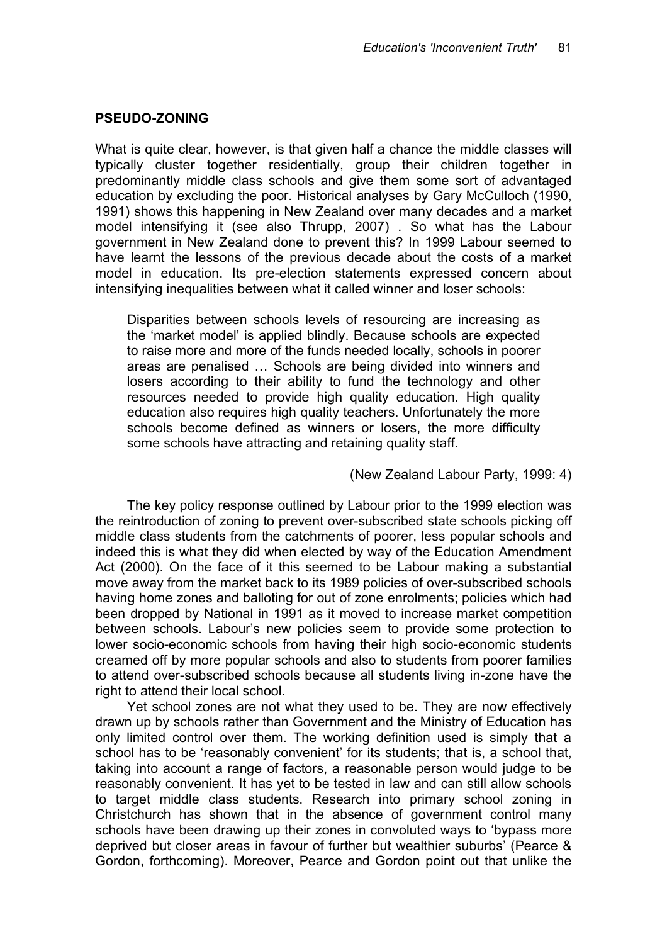#### **PSEUDO-ZONING**

What is quite clear, however, is that given half a chance the middle classes will typically cluster together residentially, group their children together in predominantly middle class schools and give them some sort of advantaged education by excluding the poor. Historical analyses by Gary McCulloch (1990, 1991) shows this happening in New Zealand over many decades and a market model intensifying it (see also Thrupp, 2007) . So what has the Labour government in New Zealand done to prevent this? In 1999 Labour seemed to have learnt the lessons of the previous decade about the costs of a market model in education. Its pre-election statements expressed concern about intensifying inequalities between what it called winner and loser schools:

Disparities between schools levels of resourcing are increasing as the 'market model' is applied blindly. Because schools are expected to raise more and more of the funds needed locally, schools in poorer areas are penalised … Schools are being divided into winners and losers according to their ability to fund the technology and other resources needed to provide high quality education. High quality education also requires high quality teachers. Unfortunately the more schools become defined as winners or losers, the more difficulty some schools have attracting and retaining quality staff.

#### (New Zealand Labour Party, 1999: 4)

The key policy response outlined by Labour prior to the 1999 election was the reintroduction of zoning to prevent over-subscribed state schools picking off middle class students from the catchments of poorer, less popular schools and indeed this is what they did when elected by way of the Education Amendment Act (2000). On the face of it this seemed to be Labour making a substantial move away from the market back to its 1989 policies of over-subscribed schools having home zones and balloting for out of zone enrolments; policies which had been dropped by National in 1991 as it moved to increase market competition between schools. Labour's new policies seem to provide some protection to lower socio-economic schools from having their high socio-economic students creamed off by more popular schools and also to students from poorer families to attend over-subscribed schools because all students living in-zone have the right to attend their local school.

Yet school zones are not what they used to be. They are now effectively drawn up by schools rather than Government and the Ministry of Education has only limited control over them. The working definition used is simply that a school has to be 'reasonably convenient' for its students; that is, a school that, taking into account a range of factors, a reasonable person would judge to be reasonably convenient. It has yet to be tested in law and can still allow schools to target middle class students. Research into primary school zoning in Christchurch has shown that in the absence of government control many schools have been drawing up their zones in convoluted ways to 'bypass more deprived but closer areas in favour of further but wealthier suburbs' (Pearce & Gordon, forthcoming). Moreover, Pearce and Gordon point out that unlike the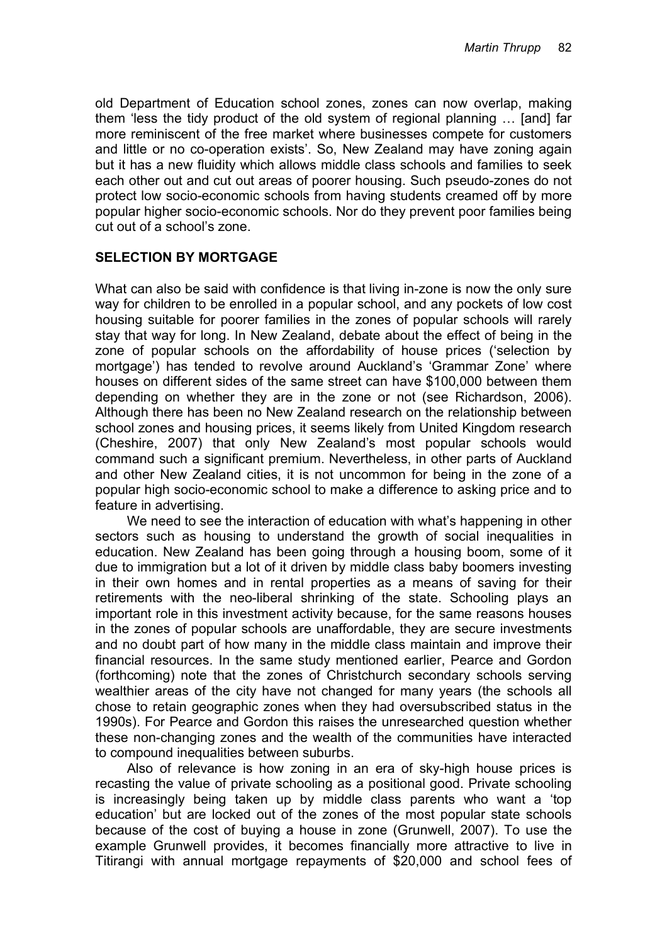old Department of Education school zones, zones can now overlap, making them 'less the tidy product of the old system of regional planning … [and] far more reminiscent of the free market where businesses compete for customers and little or no co-operation exists'. So, New Zealand may have zoning again but it has a new fluidity which allows middle class schools and families to seek each other out and cut out areas of poorer housing. Such pseudo-zones do not protect low socio-economic schools from having students creamed off by more popular higher socio-economic schools. Nor do they prevent poor families being cut out of a school's zone.

## **SELECTION BY MORTGAGE**

What can also be said with confidence is that living in-zone is now the only sure way for children to be enrolled in a popular school, and any pockets of low cost housing suitable for poorer families in the zones of popular schools will rarely stay that way for long. In New Zealand, debate about the effect of being in the zone of popular schools on the affordability of house prices ('selection by mortgage') has tended to revolve around Auckland's 'Grammar Zone' where houses on different sides of the same street can have \$100,000 between them depending on whether they are in the zone or not (see Richardson, 2006). Although there has been no New Zealand research on the relationship between school zones and housing prices, it seems likely from United Kingdom research (Cheshire, 2007) that only New Zealand's most popular schools would command such a significant premium. Nevertheless, in other parts of Auckland and other New Zealand cities, it is not uncommon for being in the zone of a popular high socio-economic school to make a difference to asking price and to feature in advertising.

We need to see the interaction of education with what's happening in other sectors such as housing to understand the growth of social inequalities in education. New Zealand has been going through a housing boom, some of it due to immigration but a lot of it driven by middle class baby boomers investing in their own homes and in rental properties as a means of saving for their retirements with the neo-liberal shrinking of the state. Schooling plays an important role in this investment activity because, for the same reasons houses in the zones of popular schools are unaffordable, they are secure investments and no doubt part of how many in the middle class maintain and improve their financial resources. In the same study mentioned earlier, Pearce and Gordon (forthcoming) note that the zones of Christchurch secondary schools serving wealthier areas of the city have not changed for many years (the schools all chose to retain geographic zones when they had oversubscribed status in the 1990s). For Pearce and Gordon this raises the unresearched question whether these non-changing zones and the wealth of the communities have interacted to compound inequalities between suburbs.

Also of relevance is how zoning in an era of sky-high house prices is recasting the value of private schooling as a positional good. Private schooling is increasingly being taken up by middle class parents who want a 'top education' but are locked out of the zones of the most popular state schools because of the cost of buying a house in zone (Grunwell, 2007). To use the example Grunwell provides, it becomes financially more attractive to live in Titirangi with annual mortgage repayments of \$20,000 and school fees of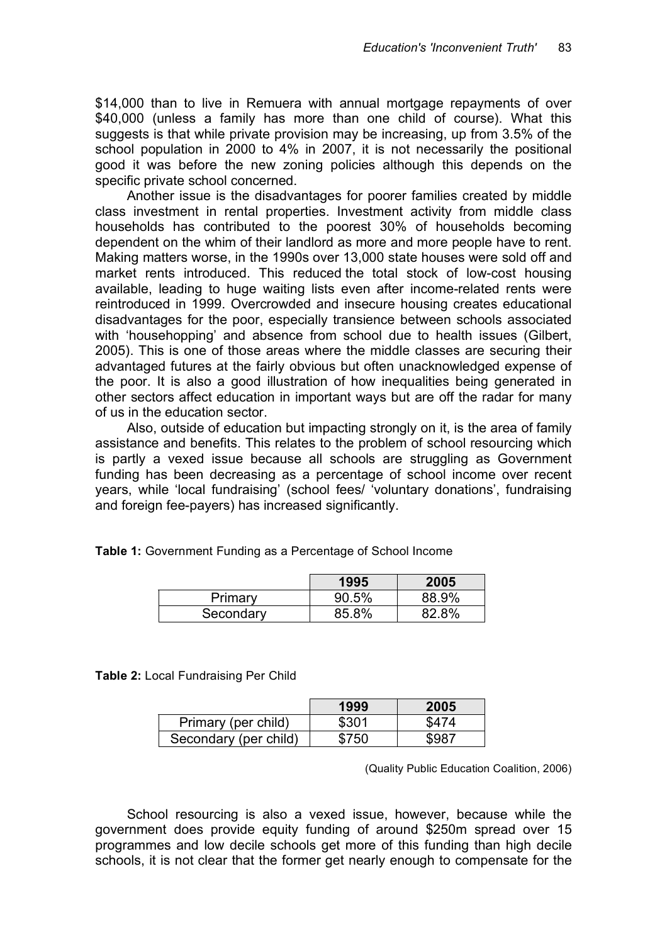\$14,000 than to live in Remuera with annual mortgage repayments of over \$40,000 (unless a family has more than one child of course). What this suggests is that while private provision may be increasing, up from 3.5% of the school population in 2000 to 4% in 2007, it is not necessarily the positional good it was before the new zoning policies although this depends on the specific private school concerned.

Another issue is the disadvantages for poorer families created by middle class investment in rental properties. Investment activity from middle class households has contributed to the poorest 30% of households becoming dependent on the whim of their landlord as more and more people have to rent. Making matters worse, in the 1990s over 13,000 state houses were sold off and market rents introduced. This reduced the total stock of low-cost housing available, leading to huge waiting lists even after income-related rents were reintroduced in 1999. Overcrowded and insecure housing creates educational disadvantages for the poor, especially transience between schools associated with 'househopping' and absence from school due to health issues (Gilbert, 2005). This is one of those areas where the middle classes are securing their advantaged futures at the fairly obvious but often unacknowledged expense of the poor. It is also a good illustration of how inequalities being generated in other sectors affect education in important ways but are off the radar for many of us in the education sector.

Also, outside of education but impacting strongly on it, is the area of family assistance and benefits. This relates to the problem of school resourcing which is partly a vexed issue because all schools are struggling as Government funding has been decreasing as a percentage of school income over recent years, while 'local fundraising' (school fees/ 'voluntary donations', fundraising and foreign fee-payers) has increased significantly.

| Table 1: Government Funding as a Percentage of School Income |  |
|--------------------------------------------------------------|--|
|--------------------------------------------------------------|--|

|           | 1995  | 2005  |
|-----------|-------|-------|
| Primary   | 90.5% | 88.9% |
| Secondary | 85.8% | 82.8% |

**Table 2:** Local Fundraising Per Child

|                       | 1999  | 2005  |
|-----------------------|-------|-------|
| Primary (per child)   | \$301 | \$474 |
| Secondary (per child) | \$750 | \$987 |

(Quality Public Education Coalition, 2006)

School resourcing is also a vexed issue, however, because while the government does provide equity funding of around \$250m spread over 15 programmes and low decile schools get more of this funding than high decile schools, it is not clear that the former get nearly enough to compensate for the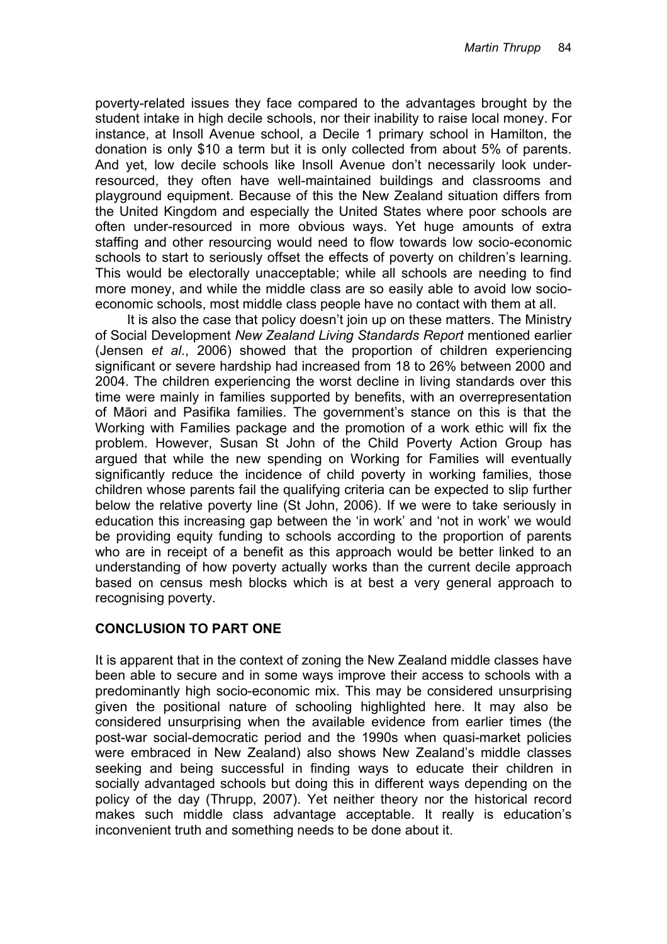poverty-related issues they face compared to the advantages brought by the student intake in high decile schools, nor their inability to raise local money. For instance, at Insoll Avenue school, a Decile 1 primary school in Hamilton, the donation is only \$10 a term but it is only collected from about 5% of parents. And yet, low decile schools like Insoll Avenue don't necessarily look underresourced, they often have well-maintained buildings and classrooms and playground equipment. Because of this the New Zealand situation differs from the United Kingdom and especially the United States where poor schools are often under-resourced in more obvious ways. Yet huge amounts of extra staffing and other resourcing would need to flow towards low socio-economic schools to start to seriously offset the effects of poverty on children's learning. This would be electorally unacceptable; while all schools are needing to find more money, and while the middle class are so easily able to avoid low socioeconomic schools, most middle class people have no contact with them at all.

It is also the case that policy doesn't join up on these matters. The Ministry of Social Development *New Zealand Living Standards Report* mentioned earlier (Jensen *et al*., 2006) showed that the proportion of children experiencing significant or severe hardship had increased from 18 to 26% between 2000 and 2004. The children experiencing the worst decline in living standards over this time were mainly in families supported by benefits, with an overrepresentation of M!ori and Pasifika families. The government's stance on this is that the Working with Families package and the promotion of a work ethic will fix the problem. However, Susan St John of the Child Poverty Action Group has argued that while the new spending on Working for Families will eventually significantly reduce the incidence of child poverty in working families, those children whose parents fail the qualifying criteria can be expected to slip further below the relative poverty line (St John, 2006). If we were to take seriously in education this increasing gap between the 'in work' and 'not in work' we would be providing equity funding to schools according to the proportion of parents who are in receipt of a benefit as this approach would be better linked to an understanding of how poverty actually works than the current decile approach based on census mesh blocks which is at best a very general approach to recognising poverty.

## **CONCLUSION TO PART ONE**

It is apparent that in the context of zoning the New Zealand middle classes have been able to secure and in some ways improve their access to schools with a predominantly high socio-economic mix. This may be considered unsurprising given the positional nature of schooling highlighted here. It may also be considered unsurprising when the available evidence from earlier times (the post-war social-democratic period and the 1990s when quasi-market policies were embraced in New Zealand) also shows New Zealand's middle classes seeking and being successful in finding ways to educate their children in socially advantaged schools but doing this in different ways depending on the policy of the day (Thrupp, 2007). Yet neither theory nor the historical record makes such middle class advantage acceptable. It really is education's inconvenient truth and something needs to be done about it.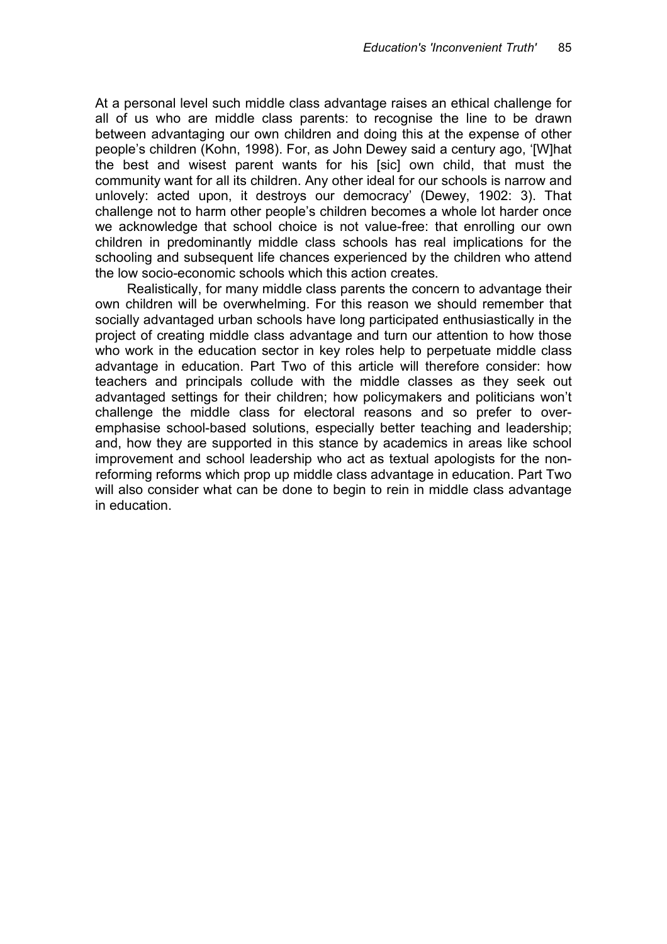At a personal level such middle class advantage raises an ethical challenge for all of us who are middle class parents: to recognise the line to be drawn between advantaging our own children and doing this at the expense of other people's children (Kohn, 1998). For, as John Dewey said a century ago, '[W]hat the best and wisest parent wants for his [sic] own child, that must the community want for all its children. Any other ideal for our schools is narrow and unlovely: acted upon, it destroys our democracy' (Dewey, 1902: 3). That challenge not to harm other people's children becomes a whole lot harder once we acknowledge that school choice is not value-free: that enrolling our own children in predominantly middle class schools has real implications for the schooling and subsequent life chances experienced by the children who attend the low socio-economic schools which this action creates.

Realistically, for many middle class parents the concern to advantage their own children will be overwhelming. For this reason we should remember that socially advantaged urban schools have long participated enthusiastically in the project of creating middle class advantage and turn our attention to how those who work in the education sector in key roles help to perpetuate middle class advantage in education. Part Two of this article will therefore consider: how teachers and principals collude with the middle classes as they seek out advantaged settings for their children; how policymakers and politicians won't challenge the middle class for electoral reasons and so prefer to overemphasise school-based solutions, especially better teaching and leadership; and, how they are supported in this stance by academics in areas like school improvement and school leadership who act as textual apologists for the nonreforming reforms which prop up middle class advantage in education. Part Two will also consider what can be done to begin to rein in middle class advantage in education.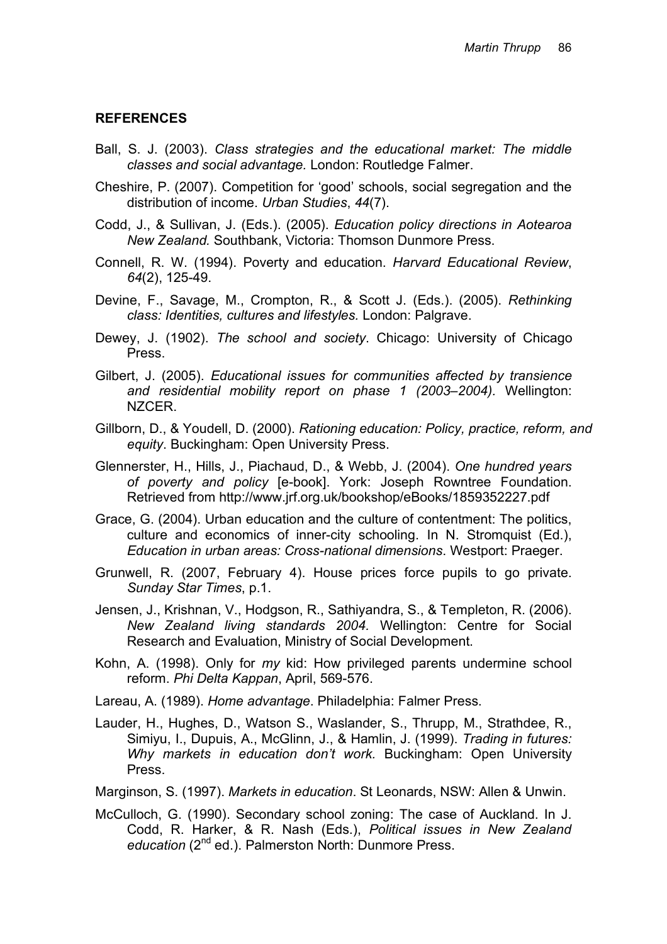### **REFERENCES**

- Ball, S. J. (2003). *Class strategies and the educational market: The middle classes and social advantage.* London: Routledge Falmer.
- Cheshire, P. (2007). Competition for 'good' schools, social segregation and the distribution of income. *Urban Studies*, *44*(7).
- Codd, J., & Sullivan, J. (Eds.). (2005). *Education policy directions in Aotearoa New Zealand.* Southbank, Victoria: Thomson Dunmore Press.
- Connell, R. W. (1994). Poverty and education. *Harvard Educational Review*, *64*(2), 125-49.
- Devine, F., Savage, M., Crompton, R., & Scott J. (Eds.). (2005). *Rethinking class: Identities, cultures and lifestyles.* London: Palgrave.
- Dewey, J. (1902). *The school and society*. Chicago: University of Chicago Press.
- Gilbert, J. (2005). *Educational issues for communities affected by transience and residential mobility report on phase 1 (2003–2004).* Wellington: NZCER.
- Gillborn, D., & Youdell, D. (2000). *Rationing education: Policy, practice, reform, and equity*. Buckingham: Open University Press.
- Glennerster, H., Hills, J., Piachaud, D., & Webb, J. (2004). *One hundred years of poverty and policy* [e-book]. York: Joseph Rowntree Foundation. Retrieved from http://www.jrf.org.uk/bookshop/eBooks/1859352227.pdf
- Grace, G. (2004). Urban education and the culture of contentment: The politics, culture and economics of inner-city schooling. In N. Stromquist (Ed.), *Education in urban areas: Cross-national dimensions*. Westport: Praeger.
- Grunwell, R. (2007, February 4). House prices force pupils to go private. *Sunday Star Times*, p.1.
- Jensen, J., Krishnan, V., Hodgson, R., Sathiyandra, S., & Templeton, R. (2006). *New Zealand living standards 2004.* Wellington: Centre for Social Research and Evaluation, Ministry of Social Development.
- Kohn, A. (1998). Only for *my* kid: How privileged parents undermine school reform. *Phi Delta Kappan*, April, 569-576.
- Lareau, A. (1989). *Home advantage*. Philadelphia: Falmer Press.
- Lauder, H., Hughes, D., Watson S., Waslander, S., Thrupp, M., Strathdee, R., Simiyu, I., Dupuis, A., McGlinn, J., & Hamlin, J. (1999). *Trading in futures: Why markets in education don't work.* Buckingham: Open University Press.
- Marginson, S. (1997). *Markets in education*. St Leonards, NSW: Allen & Unwin.
- McCulloch, G. (1990). Secondary school zoning: The case of Auckland. In J. Codd, R. Harker, & R. Nash (Eds.), *Political issues in New Zealand* education (2<sup>nd</sup> ed.). Palmerston North: Dunmore Press.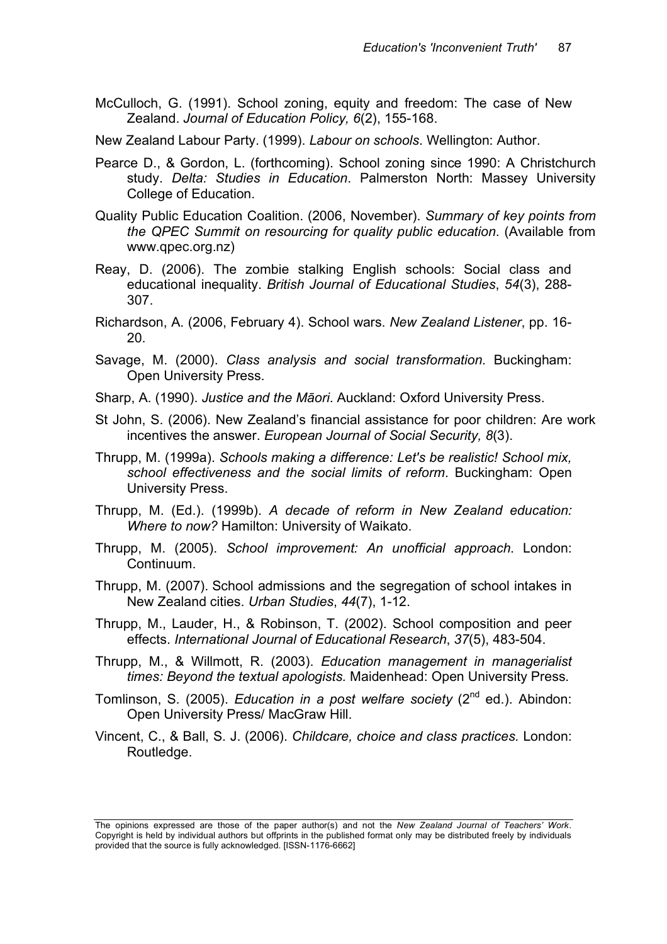McCulloch, G. (1991). School zoning, equity and freedom: The case of New Zealand. *Journal of Education Policy, 6*(2), 155-168.

New Zealand Labour Party. (1999). *Labour on schools*. Wellington: Author.

- Pearce D., & Gordon, L. (forthcoming). School zoning since 1990: A Christchurch study. *Delta: Studies in Education*. Palmerston North: Massey University College of Education.
- Quality Public Education Coalition. (2006, November). *Summary of key points from the QPEC Summit on resourcing for quality public education*. (Available from www.qpec.org.nz)
- Reay, D. (2006). The zombie stalking English schools: Social class and educational inequality. *British Journal of Educational Studies*, *54*(3), 288- 307.
- Richardson, A. (2006, February 4). School wars. *New Zealand Listener*, pp. 16- 20.
- Savage, M. (2000). *Class analysis and social transformation.* Buckingham: Open University Press.
- Sharp, A. (1990). *Justice and the Māori*. Auckland: Oxford University Press.
- St John, S. (2006). New Zealand's financial assistance for poor children: Are work incentives the answer. *European Journal of Social Security, 8*(3).
- Thrupp, M. (1999a). *Schools making a difference: Let's be realistic! School mix, school effectiveness and the social limits of reform*. Buckingham: Open University Press.
- Thrupp, M. (Ed.). (1999b). *A decade of reform in New Zealand education: Where to now?* Hamilton: University of Waikato.
- Thrupp, M. (2005). *School improvement: An unofficial approach*. London: Continuum.
- Thrupp, M. (2007). School admissions and the segregation of school intakes in New Zealand cities. *Urban Studies*, *44*(7), 1-12.
- Thrupp, M., Lauder, H., & Robinson, T. (2002). School composition and peer effects. *International Journal of Educational Research*, *37*(5), 483-504.
- Thrupp, M., & Willmott, R. (2003). *Education management in managerialist times: Beyond the textual apologists.* Maidenhead: Open University Press.
- Tomlinson, S. (2005). *Education in a post welfare society* (2nd ed.). Abindon: Open University Press/ MacGraw Hill.
- Vincent, C., & Ball, S. J. (2006). *Childcare, choice and class practices.* London: Routledge.

The opinions expressed are those of the paper author(s) and not the *New Zealand Journal of Teachers' Work*. Copyright is held by individual authors but offprints in the published format only may be distributed freely by individuals provided that the source is fully acknowledged. [ISSN-1176-6662]